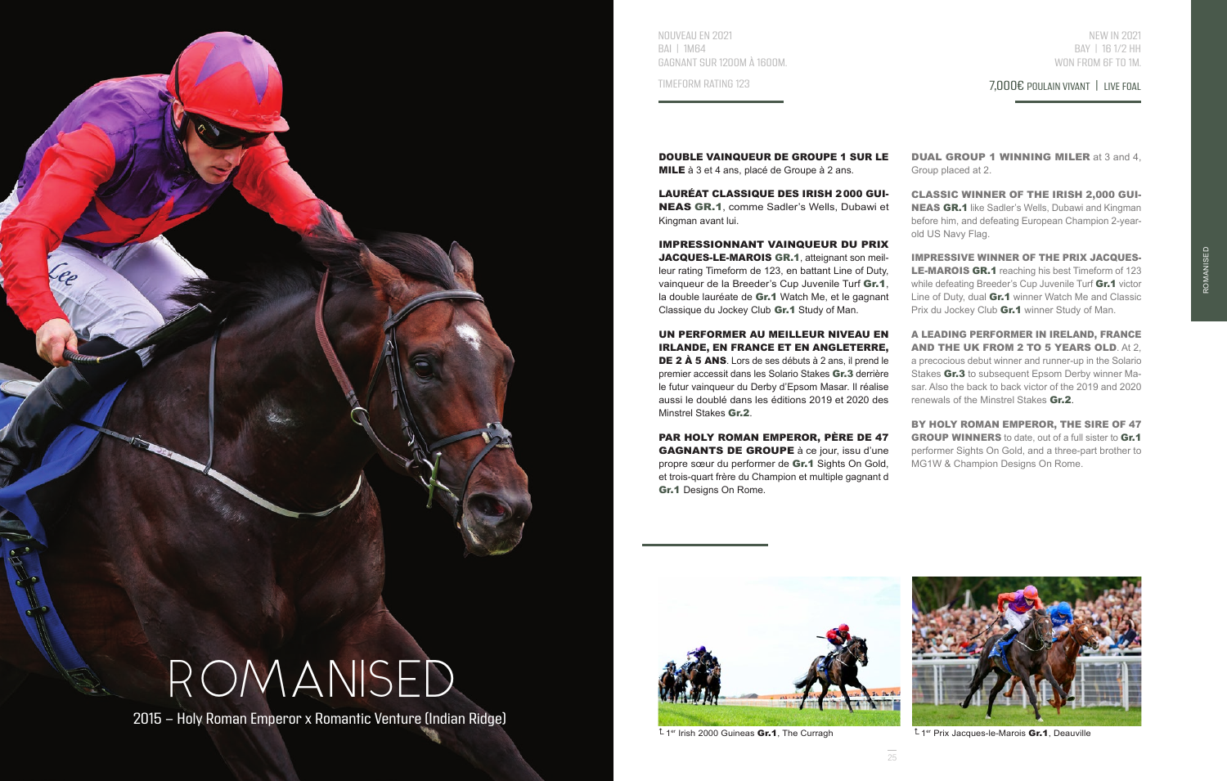

NOUVEAU EN 2021 BAI | 1M64 GAGNANT SUR 1200M À 1600M.

TIMEFORM RATING 123

NEW IN 2021 BAY | 16 1/2 HH WON FROM 6F TO 1M.

ROMANISED

7,000€ POULAIN VIVANT | LIVE FOAL

DOUBLE VAINQUEUR DE GROUPE 1 SUR LE MILE à 3 et 4 ans, placé de Groupe à 2 ans.

LAURÉAT CLASSIQUE DES IRISH 2000 GUI-NEAS GR.1, comme Sadler's Wells, Dubawi et Kingman avant lui.

IMPRESSIONNANT VAINQUEUR DU PRIX JACQUES-LE-MAROIS GR.1, atteignant son meilleur rating Timeform de 123, en battant Line of Duty, vainqueur de la Breeder's Cup Juvenile Turf Gr.1, la double lauréate de Gr.1 Watch Me, et le gagnant Classique du Jockey Club Gr.1 Study of Man.

UN PERFORMER AU MEILLEUR NIVEAU EN IRLANDE, EN FRANCE ET EN ANGLETERRE, DE 2 À 5 ANS. Lors de ses débuts à 2 ans, il prend le premier accessit dans les Solario Stakes Gr.3 derrière le futur vainqueur du Derby d'Epsom Masar. Il réalise aussi le doublé dans les éditions 2019 et 2020 des Minstrel Stakes Gr.2.

PAR HOLY ROMAN EMPEROR, PÈRE DE 47 GAGNANTS DE GROUPE à ce jour, issu d'une propre sœur du performer de Gr.1 Sights On Gold, et trois-quart frère du Champion et multiple gagnant d Gr.1 Designs On Rome.

DUAL GROUP 1 WINNING MILER at 3 and 4, Group placed at 2.

CLASSIC WINNER OF THE IRISH 2,000 GUI-NEAS GR.1 like Sadler's Wells, Dubawi and Kingman before him, and defeating European Champion 2-yearold US Navy Flag.

IMPRESSIVE WINNER OF THE PRIX JACQUES-LE-MAROIS GR.1 reaching his best Timeform of 123 while defeating Breeder's Cup Juvenile Turf Gr.1 victor Line of Duty, dual Gr.1 winner Watch Me and Classic Prix du Jockey Club **Gr.1** winner Study of Man.

A LEADING PERFORMER IN IRELAND, FRANCE AND THE UK FROM 2 TO 5 YEARS OLD. At 2, a precocious debut winner and runner-up in the Solario Stakes Gr.3 to subsequent Epsom Derby winner Masar. Also the back to back victor of the 2019 and 2020 renewals of the Minstrel Stakes Gr.2.

BY HOLY ROMAN EMPEROR, THE SIRE OF 47 GROUP WINNERS to date, out of a full sister to Gr.1 performer Sights On Gold, and a three-part brother to MG1W & Champion Designs On Rome.



 $1<sup>er</sup>$  Irish 2000 Guineas **Gr.1**, The Curragh  $1<sup>er</sup>$  Prix Jacques-le-Marois **Gr.1**, Deauville

 $25$